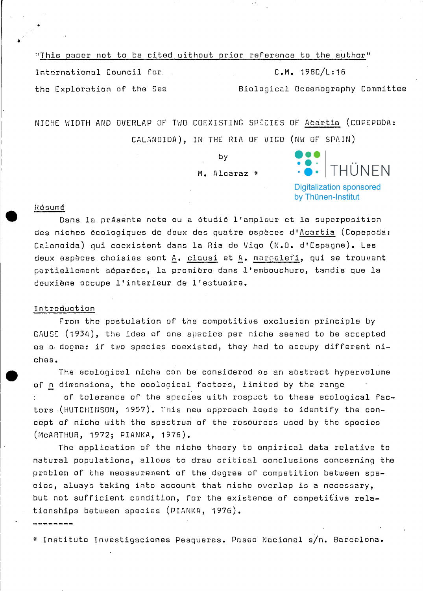| "This paper not to be cited without prior reference to the author" |                                   |
|--------------------------------------------------------------------|-----------------------------------|
| International Council for                                          | C.M. 198D/L:16                    |
| the Exploration of the Sea                                         | Biological Oceanography Committee |

NICHE WIDTH AND OVERLAP OF TWO COEXISTING SPECIES OF Acartia (COPEPODA: CALANOIDA), IN THE RIA OF VIGO (NW OF SPAIN)

> by M. Alcaraz \*

THÜNFN

**Digitalization sponsored** by Thünen-Institut

# Résumé

Dans la présente note ou a étudié l'ampleur et la superposition des niches écologiques de deux des quatre espèces d'Acartia (Copepoda: Calanoida) qui coexistent dans la Ria de Vigo (N.O. d'Espagne). Les deux espèces choisies sont A. clausi et A. margalefi, qui se trouvent partiellement séparões, la première dans l'embouchure, tandis que la deuxième occupe l'interieur de l'estuaire.

# Introduction

From the postulation of the competitive exclusion principle by GAUSE (1934), the idea of one species per niche seemed to be accepted as a dogma: if two species coexisted, they had to accupy different niches.

The ecological niche can be considered as an abstract hypervolume of n dimensions, the ecological factors, limited by the range

of tolerance of the species with respect to these ecological factors (HUTCHINSON, 1957). This new approach leads to identify the concept of niche with the spectrum of the resources used by the species (MCARTHUR, 1972; PIANKA, 1976).

The application of the niche theory to empirical data relative to natural populations, allows to draw critical conclusions concerning the problem of the meassurement of the degree of competition between species, always taking into account that niche overlap is a necessary, but not sufficient condition, for the existence of competitive relationships between species (PIANKA, 1976).

\* Instituto Investigaciones Pesqueras. Paseo Nacional s/n. Barcelona.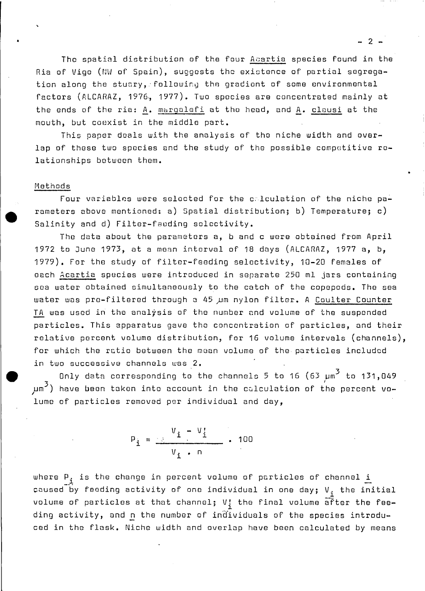The spatial distribution of the four Acartia species found in the Ria of Vigo (NW of Spain), suggests the existence of partial segregation along the stuary, following the gradient of some environmental factors (ALCARAZ, 1976, 1977). Two species are concentrated mainly at the ends of the ria: A. margalefi at the head, and A. clausi at the mouth, but c08xist in the middle part.

This paper deals with the analysis of the niche width and overlap of these two species and the study of the possible competitive relationships between them.

### Methods

•

•

Four variables were selected for the c;lculation of the niche parameters above mentioned: a) 5patial distribution; b) Temperature; c) Salinity and d) Filter-feoding soloctivity.

The data about the parameters a, b and c were obtained from April 1972 to June 1973, at a mean interval of 18 days (ALCARAZ, 1977 a, b, 1979). For the study of filter-feeding seloctivity, 10-20 females of each Acartia species were introduced in separate 250 ml jars containing sea water obtained simultaneously to the catch of the copepods. The sea water was pre-filtered through a 45 um nylon filter. A Coulter Counter TA was used in the analysis of the number and volume of the suspended particles. This apparatus gave tho concontration of particles, and their relative percent volume distribution, for 16 volume intervals (channels), for which the ratio between the moan volume of the particles includod in two successive channels was 2.

Only data corresponding to the channels 5 to 16  $(63 \mu m^3$  to 131,049  $\mu$ m<sup>3</sup>) have been taken into account in the calculation of the percent volume of particles removed psr individual and day,

$$
P_{\underline{i}} = \frac{V_{\underline{i}} - V_{\underline{i}}}{V_{\underline{i}} - n} \cdot 100
$$

where  $P_i$  is the change in percent volume of particles of channel i caused by feeding activity of one individual in one day;  $V_i$ , the initial volume of particles at that channel;  $V_i$  the final volume after the feeding activity, and n the number of individuals of the species introduced in the flask. Niche width and overlap have been calculated by means

 $2 -$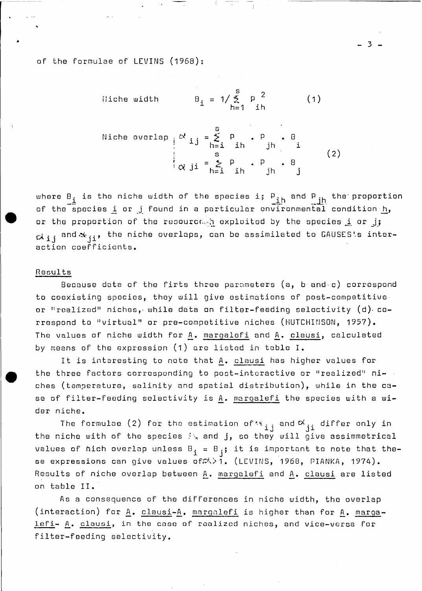of the formulae of LEVINS (1968):

iliche width 
$$
B_i = 1/\sum_{h=1}^{S} p^2
$$
 (1)

Notice overlap

\n
$$
\begin{array}{c}\n\alpha_{ij} = \sum_{h=1}^{S} p \cdot p \cdot B \\
\alpha_{ji} = \sum_{h=1}^{S} p \cdot P \cdot B \\
\alpha_{ji} = \sum_{h=1}^{S} p \cdot B \cdot B \\
\vdots\n\end{array}
$$
\n(2)

where  $B_i$  is the niche width of the species i;  $P_{ih}$  and  $P_{jh}$  the proportion of the species i or j found in a particular environmental condition h, or the proportion of the resourched exploited by the species i or j;  $\alpha_{ij}$  and  $\alpha_{ji}$ , the niche overlaps, can be assimilated to GAUSES's interaction coefficients.

#### Results

Because data of the firts three parameters  $(a, b and c)$  correspond to coexisting species, they will give estimations of post-competitive or "realized" niches, while data on filter-feeding selectivity  $(d)$  correspond to "virtual" or pre-competitive niches (HUTCHINSON, 1957). The values of niche width for A. margalefi and A. clausi, calculated by means of the expression (1) are listed in table I.

It is interesting to note that A. clausi has higher values for the three factors corresponding to post-interactive or "realized" niches (temperature, salinity and spatial distribution), while in the case of filter-feeding selectivity is A. margalefi the species with a wider niche.

The formulae (2) for the estimation of  $\mathcal{R}_{i,j}$  and  $\mathcal{R}_{ji}$  differ only in the niche with of the species  $\mathbb{N}_*$  and j, so they will give assimmetrical values of hich overlap unless  $B_i = B_i$ ; it is important to note that these expressions can give values of  $\triangle$ >1. (LEVINS, 1968, PIANKA, 1974). Results of niche overlap between A. margalefi and A. clausi are listed on table II.

As a consequence of the differences in niche width, the overlap (interaction) for A. clausi-A. margalefi is higher than for A. margalefi- A. clausi, in the case of realized niches, and vice-versa for filter-feeding selectivity.

 $3 -$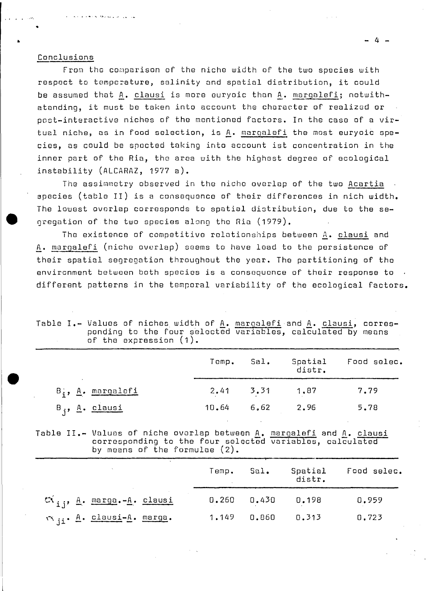#### Conclusions

وبالول المروضة وهارية

From the comparison of the niche width of the two species with respect to temperature, salinity and spatial distribution, it could be assumed that A. clausi is more euryoic than A. margalefi; notwithatanding, it must be taken into account the character of realized or post-interactive niches of the mentioned factors. In the case of a virtual niche, as in food selection, is A. margalefi the most euryoic species, as could be spected taking into account ist concentration in the inner part of the Ria, the area with the highest degree of ecological instability (ALCARAZ, 1977 a).

The assimmetry observed in the niche overlap of the two Acartia species (table II) is a consequence of their differences in nich width. The lowest overlap corresponds to spatial distribution, due to the segregation of the two species along the Ria (1979).

The existence of competitive relationships between A. clausi and A. margalefi (niche overlap) seems to have lead to the persistence of their spatial segregation throughout the year. The partitioning of the environment between both species is a consequence of their response to  $\overline{\phantom{a}}$ . different patterns in the temporal variability of the ecological factors.

| Table I.- Values of niches width of A. margalefi and A. clausi, corres-<br>ponding to the four selected variables, calculated by means |                           |  |  |  |
|----------------------------------------------------------------------------------------------------------------------------------------|---------------------------|--|--|--|
|                                                                                                                                        | of the expression $(1)$ . |  |  |  |

|                         | Temp. | Sal.                  | Spatial<br>distr. | Food selec. |
|-------------------------|-------|-----------------------|-------------------|-------------|
| $B_i$ , $A_i$ margalefi |       | $2.41$ $3.31$ $1.87$  |                   | 7.79        |
| $B_i$ , A. clausi       |       | $10.64$ $6.62$ $2.96$ |                   | 5.78        |

Table II.- Values of niche overlap between A. margalefi and A. clausi<br>corresponding to the four selected variables, calculated by means of the formulae (2).

|                                      | Temp. | Sal.  | distr. | Spatial Food selec. |
|--------------------------------------|-------|-------|--------|---------------------|
| $\alpha_{i,j}$ , A. marga.-A. clausi | 0.260 | 0.430 | 0.198  | 0,959               |
| v ii. A. clausi-A. marga.            | 1.149 | 0.860 | 0.313  | 0.723               |

 $\sim$